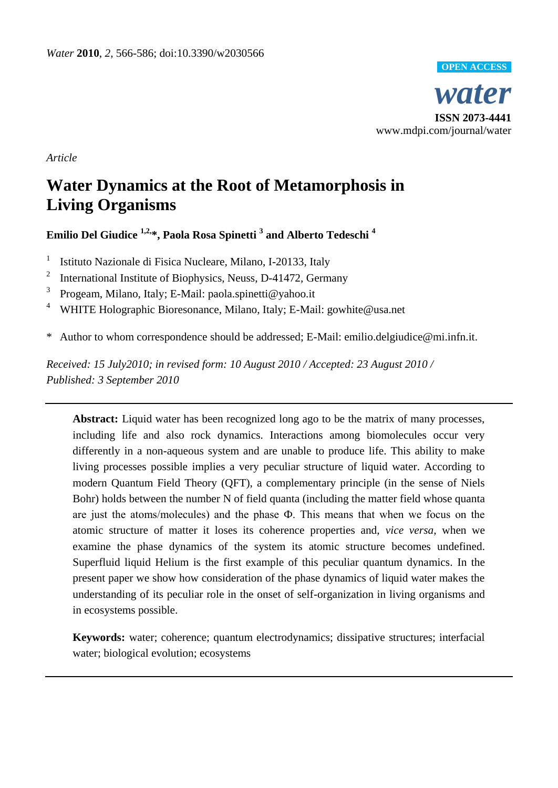

*Article*

# **Water Dynamics at the Root of Metamorphosis in Living Organisms**

**Emilio Del Giudice 1,2,\*, Paola Rosa Spinetti <sup>3</sup> and Alberto Tedeschi <sup>4</sup>**

- 1 Istituto Nazionale di Fisica Nucleare, Milano, I-20133, Italy
- 2 International Institute of Biophysics, Neuss, D-41472, Germany
- 3 Progeam, Milano, Italy; E-Mail: paola.spinetti@yahoo.it
- <sup>4</sup> WHITE Holographic Bioresonance, Milano, Italy; E-Mail: gowhite@usa.net
- \* Author to whom correspondence should be addressed; E-Mail: [emilio.delgiudice@mi.infn.it.](mailto:emilio.delgiudice@mi.infn.it)

*Received: 15 July2010; in revised form: 10 August 2010 / Accepted: 23 August 2010 / Published: 3 September 2010*

**Abstract:** Liquid water has been recognized long ago to be the matrix of many processes, including life and also rock dynamics. Interactions among biomolecules occur very differently in a non-aqueous system and are unable to produce life. This ability to make living processes possible implies a very peculiar structure of liquid water. According to modern Quantum Field Theory (QFT), a complementary principle (in the sense of Niels Bohr) holds between the number N of field quanta (including the matter field whose quanta are just the atoms/molecules) and the phase Ф. This means that when we focus on the atomic structure of matter it loses its coherence properties and, *vice versa*, when we examine the phase dynamics of the system its atomic structure becomes undefined. Superfluid liquid Helium is the first example of this peculiar quantum dynamics. In the present paper we show how consideration of the phase dynamics of liquid water makes the understanding of its peculiar role in the onset of self-organization in living organisms and in ecosystems possible.

**Keywords:** water; coherence; quantum electrodynamics; dissipative structures; interfacial water; biological evolution; ecosystems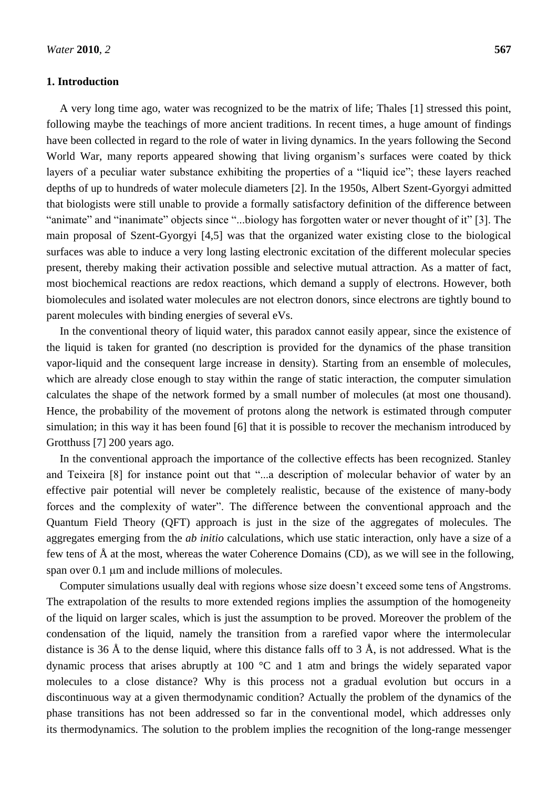#### **1. Introduction**

A very long time ago, water was recognized to be the matrix of life; Thales [1] stressed this point, following maybe the teachings of more ancient traditions. In recent times, a huge amount of findings have been collected in regard to the role of water in living dynamics. In the years following the Second World War, many reports appeared showing that living organism's surfaces were coated by thick layers of a peculiar water substance exhibiting the properties of a "liquid ice"; these layers reached depths of up to hundreds of water molecule diameters [2]. In the 1950s, Albert Szent-Gyorgyi admitted that biologists were still unable to provide a formally satisfactory definition of the difference between "animate" and "inanimate" objects since "...biology has forgotten water or never thought of it" [3]. The main proposal of Szent-Gyorgyi [4,5] was that the organized water existing close to the biological surfaces was able to induce a very long lasting electronic excitation of the different molecular species present, thereby making their activation possible and selective mutual attraction. As a matter of fact, most biochemical reactions are redox reactions, which demand a supply of electrons. However, both biomolecules and isolated water molecules are not electron donors, since electrons are tightly bound to parent molecules with binding energies of several eVs.

In the conventional theory of liquid water, this paradox cannot easily appear, since the existence of the liquid is taken for granted (no description is provided for the dynamics of the phase transition vapor-liquid and the consequent large increase in density). Starting from an ensemble of molecules, which are already close enough to stay within the range of static interaction, the computer simulation calculates the shape of the network formed by a small number of molecules (at most one thousand). Hence, the probability of the movement of protons along the network is estimated through computer simulation; in this way it has been found [6] that it is possible to recover the mechanism introduced by Grotthuss [7] 200 years ago.

In the conventional approach the importance of the collective effects has been recognized. Stanley and Teixeira [8] for instance point out that "...a description of molecular behavior of water by an effective pair potential will never be completely realistic, because of the existence of many-body forces and the complexity of water". The difference between the conventional approach and the Quantum Field Theory (QFT) approach is just in the size of the aggregates of molecules. The aggregates emerging from the *ab initio* calculations, which use static interaction, only have a size of a few tens of Å at the most, whereas the water Coherence Domains (CD), as we will see in the following, span over  $0.1 \mu$ m and include millions of molecules.

Computer simulations usually deal with regions whose size doesn't exceed some tens of Angstroms. The extrapolation of the results to more extended regions implies the assumption of the homogeneity of the liquid on larger scales, which is just the assumption to be proved. Moreover the problem of the condensation of the liquid, namely the transition from a rarefied vapor where the intermolecular distance is 36 Å to the dense liquid, where this distance falls off to 3 Å, is not addressed. What is the dynamic process that arises abruptly at 100  $\mathcal C$  and 1 atm and brings the widely separated vapor molecules to a close distance? Why is this process not a gradual evolution but occurs in a discontinuous way at a given thermodynamic condition? Actually the problem of the dynamics of the phase transitions has not been addressed so far in the conventional model, which addresses only its thermodynamics. The solution to the problem implies the recognition of the long-range messenger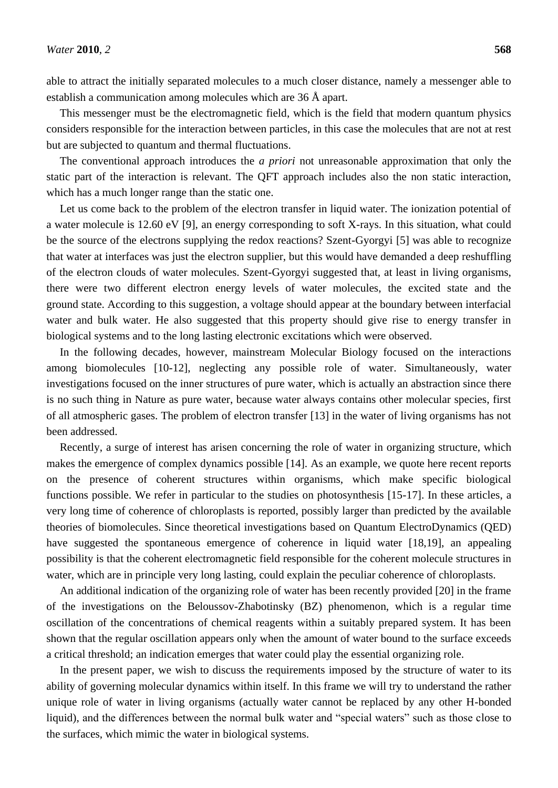able to attract the initially separated molecules to a much closer distance, namely a messenger able to establish a communication among molecules which are 36 Å apart.

This messenger must be the electromagnetic field, which is the field that modern quantum physics considers responsible for the interaction between particles, in this case the molecules that are not at rest but are subjected to quantum and thermal fluctuations.

The conventional approach introduces the *a priori* not unreasonable approximation that only the static part of the interaction is relevant. The QFT approach includes also the non static interaction, which has a much longer range than the static one.

Let us come back to the problem of the electron transfer in liquid water. The ionization potential of a water molecule is 12.60 eV [9], an energy corresponding to soft X-rays. In this situation, what could be the source of the electrons supplying the redox reactions? Szent-Gyorgyi [5] was able to recognize that water at interfaces was just the electron supplier, but this would have demanded a deep reshuffling of the electron clouds of water molecules. Szent-Gyorgyi suggested that, at least in living organisms, there were two different electron energy levels of water molecules, the excited state and the ground state. According to this suggestion, a voltage should appear at the boundary between interfacial water and bulk water. He also suggested that this property should give rise to energy transfer in biological systems and to the long lasting electronic excitations which were observed.

In the following decades, however, mainstream Molecular Biology focused on the interactions among biomolecules [10-12], neglecting any possible role of water. Simultaneously, water investigations focused on the inner structures of pure water, which is actually an abstraction since there is no such thing in Nature as pure water, because water always contains other molecular species, first of all atmospheric gases. The problem of electron transfer [13] in the water of living organisms has not been addressed.

Recently, a surge of interest has arisen concerning the role of water in organizing structure, which makes the emergence of complex dynamics possible [14]. As an example, we quote here recent reports on the presence of coherent structures within organisms, which make specific biological functions possible. We refer in particular to the studies on photosynthesis [15-17]. In these articles, a very long time of coherence of chloroplasts is reported, possibly larger than predicted by the available theories of biomolecules. Since theoretical investigations based on Quantum ElectroDynamics (QED) have suggested the spontaneous emergence of coherence in liquid water [18,19], an appealing possibility is that the coherent electromagnetic field responsible for the coherent molecule structures in water, which are in principle very long lasting, could explain the peculiar coherence of chloroplasts.

An additional indication of the organizing role of water has been recently provided [20] in the frame of the investigations on the Beloussov-Zhabotinsky (BZ) phenomenon, which is a regular time oscillation of the concentrations of chemical reagents within a suitably prepared system. It has been shown that the regular oscillation appears only when the amount of water bound to the surface exceeds a critical threshold; an indication emerges that water could play the essential organizing role.

In the present paper, we wish to discuss the requirements imposed by the structure of water to its ability of governing molecular dynamics within itself. In this frame we will try to understand the rather unique role of water in living organisms (actually water cannot be replaced by any other H-bonded liquid), and the differences between the normal bulk water and "special waters" such as those close to the surfaces, which mimic the water in biological systems.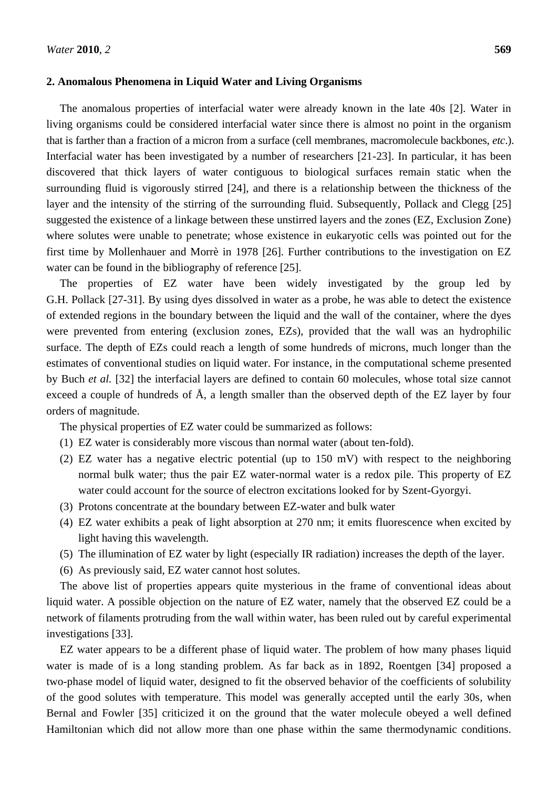#### **2. Anomalous Phenomena in Liquid Water and Living Organisms**

The anomalous properties of interfacial water were already known in the late 40s [2]. Water in living organisms could be considered interfacial water since there is almost no point in the organism that is farther than a fraction of a micron from a surface (cell membranes, macromolecule backbones, *etc*.). Interfacial water has been investigated by a number of researchers [21-23]. In particular, it has been discovered that thick layers of water contiguous to biological surfaces remain static when the surrounding fluid is vigorously stirred [24], and there is a relationship between the thickness of the layer and the intensity of the stirring of the surrounding fluid. Subsequently, Pollack and Clegg [25] suggested the existence of a linkage between these unstirred layers and the zones (EZ, Exclusion Zone) where solutes were unable to penetrate; whose existence in eukaryotic cells was pointed out for the first time by Mollenhauer and Morrè in 1978 [26]. Further contributions to the investigation on EZ water can be found in the bibliography of reference [25].

The properties of EZ water have been widely investigated by the group led by G.H. Pollack [27-31]. By using dyes dissolved in water as a probe, he was able to detect the existence of extended regions in the boundary between the liquid and the wall of the container, where the dyes were prevented from entering (exclusion zones, EZs), provided that the wall was an hydrophilic surface. The depth of EZs could reach a length of some hundreds of microns, much longer than the estimates of conventional studies on liquid water. For instance, in the computational scheme presented by Buch *et al.* [32] the interfacial layers are defined to contain 60 molecules, whose total size cannot exceed a couple of hundreds of  $\hat{A}$ , a length smaller than the observed depth of the EZ layer by four orders of magnitude.

The physical properties of EZ water could be summarized as follows:

- (1) EZ water is considerably more viscous than normal water (about ten-fold).
- (2) EZ water has a negative electric potential (up to 150 mV) with respect to the neighboring normal bulk water; thus the pair EZ water-normal water is a redox pile. This property of EZ water could account for the source of electron excitations looked for by Szent-Gyorgyi.
- (3) Protons concentrate at the boundary between EZ-water and bulk water
- (4) EZ water exhibits a peak of light absorption at 270 nm; it emits fluorescence when excited by light having this wavelength.
- (5) The illumination of EZ water by light (especially IR radiation) increases the depth of the layer.
- (6) As previously said, EZ water cannot host solutes.

The above list of properties appears quite mysterious in the frame of conventional ideas about liquid water. A possible objection on the nature of EZ water, namely that the observed EZ could be a network of filaments protruding from the wall within water, has been ruled out by careful experimental investigations [33].

EZ water appears to be a different phase of liquid water. The problem of how many phases liquid water is made of is a long standing problem. As far back as in 1892, Roentgen [34] proposed a two-phase model of liquid water, designed to fit the observed behavior of the coefficients of solubility of the good solutes with temperature. This model was generally accepted until the early 30s, when Bernal and Fowler [35] criticized it on the ground that the water molecule obeyed a well defined Hamiltonian which did not allow more than one phase within the same thermodynamic conditions.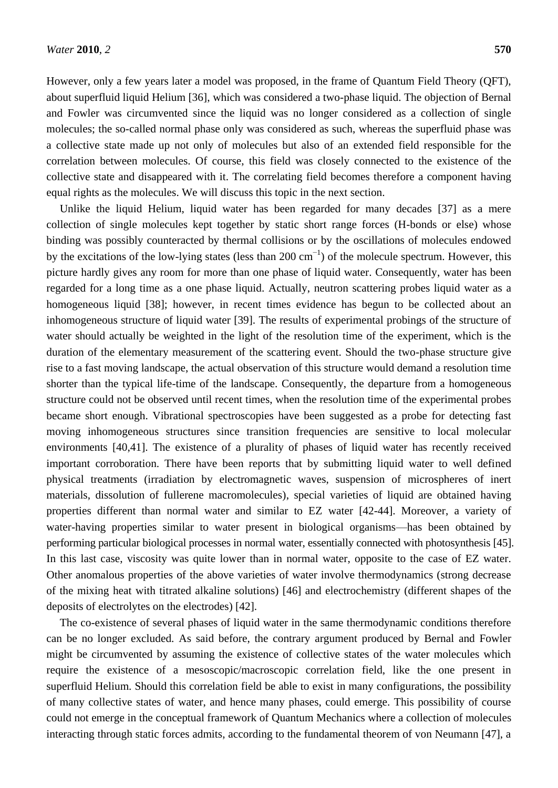However, only a few years later a model was proposed, in the frame of Quantum Field Theory (QFT), about superfluid liquid Helium [36], which was considered a two-phase liquid. The objection of Bernal and Fowler was circumvented since the liquid was no longer considered as a collection of single molecules; the so-called normal phase only was considered as such, whereas the superfluid phase was a collective state made up not only of molecules but also of an extended field responsible for the correlation between molecules. Of course, this field was closely connected to the existence of the collective state and disappeared with it. The correlating field becomes therefore a component having equal rights as the molecules. We will discuss this topic in the next section.

Unlike the liquid Helium, liquid water has been regarded for many decades [37] as a mere collection of single molecules kept together by static short range forces (H-bonds or else) whose binding was possibly counteracted by thermal collisions or by the oscillations of molecules endowed by the excitations of the low-lying states (less than 200 cm<sup>-1</sup>) of the molecule spectrum. However, this picture hardly gives any room for more than one phase of liquid water. Consequently, water has been regarded for a long time as a one phase liquid. Actually, neutron scattering probes liquid water as a homogeneous liquid [38]; however, in recent times evidence has begun to be collected about an inhomogeneous structure of liquid water [39]. The results of experimental probings of the structure of water should actually be weighted in the light of the resolution time of the experiment, which is the duration of the elementary measurement of the scattering event. Should the two-phase structure give rise to a fast moving landscape, the actual observation of this structure would demand a resolution time shorter than the typical life-time of the landscape. Consequently, the departure from a homogeneous structure could not be observed until recent times, when the resolution time of the experimental probes became short enough. Vibrational spectroscopies have been suggested as a probe for detecting fast moving inhomogeneous structures since transition frequencies are sensitive to local molecular environments [40,41]. The existence of a plurality of phases of liquid water has recently received important corroboration. There have been reports that by submitting liquid water to well defined physical treatments (irradiation by electromagnetic waves, suspension of microspheres of inert materials, dissolution of fullerene macromolecules), special varieties of liquid are obtained having properties different than normal water and similar to EZ water [42-44]. Moreover, a variety of water-having properties similar to water present in biological organisms—has been obtained by performing particular biological processes in normal water, essentially connected with photosynthesis [45]. In this last case, viscosity was quite lower than in normal water, opposite to the case of EZ water. Other anomalous properties of the above varieties of water involve thermodynamics (strong decrease of the mixing heat with titrated alkaline solutions) [46] and electrochemistry (different shapes of the deposits of electrolytes on the electrodes) [42].

The co-existence of several phases of liquid water in the same thermodynamic conditions therefore can be no longer excluded. As said before, the contrary argument produced by Bernal and Fowler might be circumvented by assuming the existence of collective states of the water molecules which require the existence of a mesoscopic/macroscopic correlation field, like the one present in superfluid Helium. Should this correlation field be able to exist in many configurations, the possibility of many collective states of water, and hence many phases, could emerge. This possibility of course could not emerge in the conceptual framework of Quantum Mechanics where a collection of molecules interacting through static forces admits, according to the fundamental theorem of von Neumann [47], a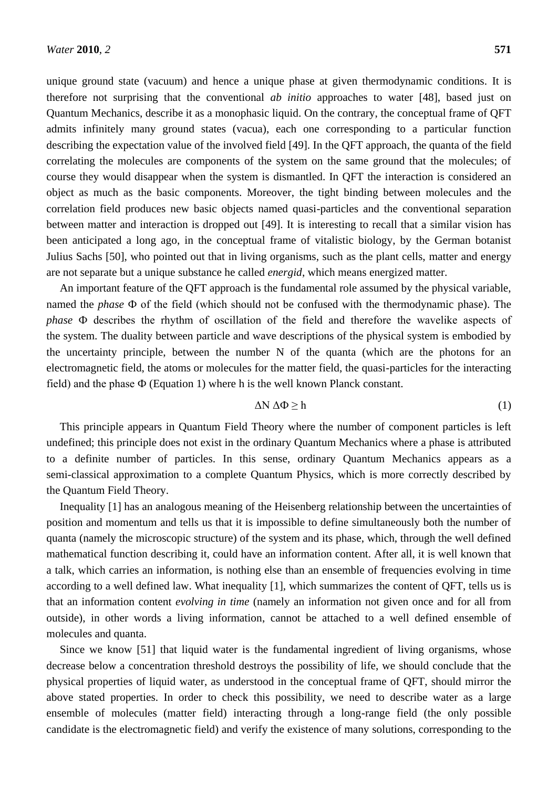unique ground state (vacuum) and hence a unique phase at given thermodynamic conditions. It is therefore not surprising that the conventional *ab initio* approaches to water [48], based just on Quantum Mechanics, describe it as a monophasic liquid. On the contrary, the conceptual frame of QFT admits infinitely many ground states (vacua), each one corresponding to a particular function describing the expectation value of the involved field [49]. In the QFT approach, the quanta of the field correlating the molecules are components of the system on the same ground that the molecules; of course they would disappear when the system is dismantled. In QFT the interaction is considered an object as much as the basic components. Moreover, the tight binding between molecules and the correlation field produces new basic objects named quasi-particles and the conventional separation between matter and interaction is dropped out [49]. It is interesting to recall that a similar vision has been anticipated a long ago, in the conceptual frame of vitalistic biology, by the German botanist Julius Sachs [50], who pointed out that in living organisms, such as the plant cells, matter and energy

An important feature of the QFT approach is the fundamental role assumed by the physical variable, named the *phase* Ф of the field (which should not be confused with the thermodynamic phase). The *phase* Ф describes the rhythm of oscillation of the field and therefore the wavelike aspects of the system. The duality between particle and wave descriptions of the physical system is embodied by the uncertainty principle, between the number N of the quanta (which are the photons for an electromagnetic field, the atoms or molecules for the matter field, the quasi-particles for the interacting field) and the phase  $\Phi$  (Equation 1) where h is the well known Planck constant.

are not separate but a unique substance he called *energid*, which means energized matter.

$$
\Delta N \, \Delta \Phi \ge h \tag{1}
$$

This principle appears in Quantum Field Theory where the number of component particles is left undefined; this principle does not exist in the ordinary Quantum Mechanics where a phase is attributed to a definite number of particles. In this sense, ordinary Quantum Mechanics appears as a semi-classical approximation to a complete Quantum Physics, which is more correctly described by the Quantum Field Theory.

Inequality [1] has an analogous meaning of the Heisenberg relationship between the uncertainties of position and momentum and tells us that it is impossible to define simultaneously both the number of quanta (namely the microscopic structure) of the system and its phase, which, through the well defined mathematical function describing it, could have an information content. After all, it is well known that a talk, which carries an information, is nothing else than an ensemble of frequencies evolving in time according to a well defined law. What inequality [1], which summarizes the content of QFT, tells us is that an information content *evolving in time* (namely an information not given once and for all from outside), in other words a living information, cannot be attached to a well defined ensemble of molecules and quanta.

Since we know [51] that liquid water is the fundamental ingredient of living organisms, whose decrease below a concentration threshold destroys the possibility of life, we should conclude that the physical properties of liquid water, as understood in the conceptual frame of QFT, should mirror the above stated properties. In order to check this possibility, we need to describe water as a large ensemble of molecules (matter field) interacting through a long-range field (the only possible candidate is the electromagnetic field) and verify the existence of many solutions, corresponding to the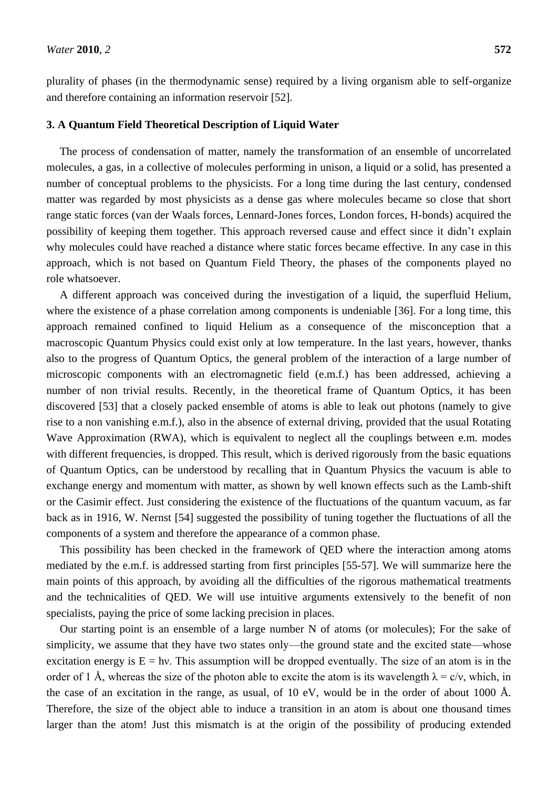plurality of phases (in the thermodynamic sense) required by a living organism able to self-organize and therefore containing an information reservoir [52].

#### **3. A Quantum Field Theoretical Description of Liquid Water**

The process of condensation of matter, namely the transformation of an ensemble of uncorrelated molecules, a gas, in a collective of molecules performing in unison, a liquid or a solid, has presented a number of conceptual problems to the physicists. For a long time during the last century, condensed matter was regarded by most physicists as a dense gas where molecules became so close that short range static forces (van der Waals forces, Lennard-Jones forces, London forces, H-bonds) acquired the possibility of keeping them together. This approach reversed cause and effect since it didn't explain why molecules could have reached a distance where static forces became effective. In any case in this approach, which is not based on Quantum Field Theory, the phases of the components played no role whatsoever.

A different approach was conceived during the investigation of a liquid, the superfluid Helium, where the existence of a phase correlation among components is undeniable [36]. For a long time, this approach remained confined to liquid Helium as a consequence of the misconception that a macroscopic Quantum Physics could exist only at low temperature. In the last years, however, thanks also to the progress of Quantum Optics, the general problem of the interaction of a large number of microscopic components with an electromagnetic field (e.m.f.) has been addressed, achieving a number of non trivial results. Recently, in the theoretical frame of Quantum Optics, it has been discovered [53] that a closely packed ensemble of atoms is able to leak out photons (namely to give rise to a non vanishing e.m.f.), also in the absence of external driving, provided that the usual Rotating Wave Approximation (RWA), which is equivalent to neglect all the couplings between e.m. modes with different frequencies, is dropped. This result, which is derived rigorously from the basic equations of Quantum Optics, can be understood by recalling that in Quantum Physics the vacuum is able to exchange energy and momentum with matter, as shown by well known effects such as the Lamb-shift or the Casimir effect. Just considering the existence of the fluctuations of the quantum vacuum, as far back as in 1916, W. Nernst [54] suggested the possibility of tuning together the fluctuations of all the components of a system and therefore the appearance of a common phase.

This possibility has been checked in the framework of QED where the interaction among atoms mediated by the e.m.f. is addressed starting from first principles [55-57]. We will summarize here the main points of this approach, by avoiding all the difficulties of the rigorous mathematical treatments and the technicalities of QED. We will use intuitive arguments extensively to the benefit of non specialists, paying the price of some lacking precision in places.

Our starting point is an ensemble of a large number N of atoms (or molecules); For the sake of simplicity, we assume that they have two states only—the ground state and the excited state—whose excitation energy is  $E = hv$ . This assumption will be dropped eventually. The size of an atom is in the order of 1 Å, whereas the size of the photon able to excite the atom is its wavelength  $\lambda = c/v$ , which, in the case of an excitation in the range, as usual, of 10 eV, would be in the order of about 1000 Å. Therefore, the size of the object able to induce a transition in an atom is about one thousand times larger than the atom! Just this mismatch is at the origin of the possibility of producing extended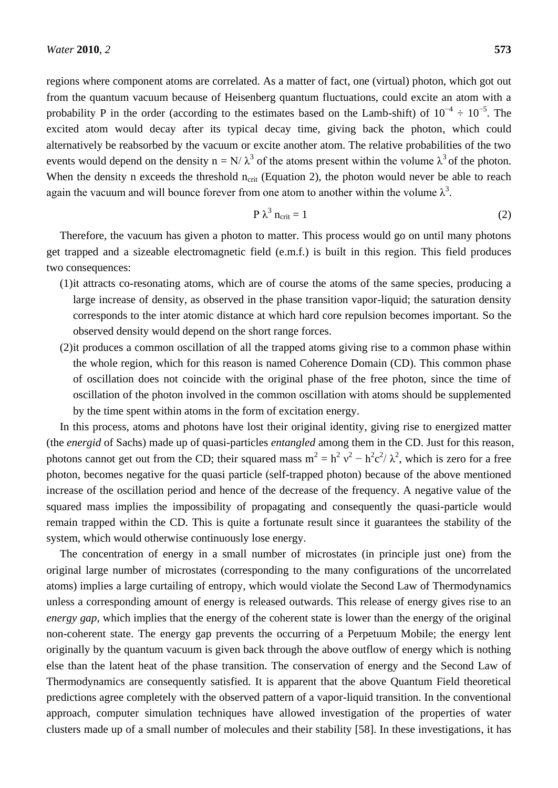regions where component atoms are correlated. As a matter of fact, one (virtual) photon, which got out from the quantum vacuum because of Heisenberg quantum fluctuations, could excite an atom with a probability P in the order (according to the estimates based on the Lamb-shift) of  $10^{-4} \div 10^{-5}$ . The excited atom would decay after its typical decay time, giving back the photon, which could alternatively be reabsorbed by the vacuum or excite another atom. The relative probabilities of the two events would depend on the density  $n = N / \lambda^3$  of the atoms present within the volume  $\lambda^3$  of the photon. When the density n exceeds the threshold  $n_{\text{crit}}$  (Equation 2), the photon would never be able to reach again the vacuum and will bounce forever from one atom to another within the volume  $\lambda^3$ .

$$
P \lambda^3 n_{\rm crit} = 1 \tag{2}
$$

Therefore, the vacuum has given a photon to matter. This process would go on until many photons get trapped and a sizeable electromagnetic field (e.m.f.) is built in this region. This field produces two consequences:

- (1)it attracts co-resonating atoms, which are of course the atoms of the same species, producing a large increase of density, as observed in the phase transition vapor-liquid; the saturation density corresponds to the inter atomic distance at which hard core repulsion becomes important. So the observed density would depend on the short range forces.
- (2)it produces a common oscillation of all the trapped atoms giving rise to a common phase within the whole region, which for this reason is named Coherence Domain (CD). This common phase of oscillation does not coincide with the original phase of the free photon, since the time of oscillation of the photon involved in the common oscillation with atoms should be supplemented by the time spent within atoms in the form of excitation energy.

In this process, atoms and photons have lost their original identity, giving rise to energized matter (the *energid* of Sachs) made up of quasi-particles *entangled* among them in the CD. Just for this reason, photons cannot get out from the CD; their squared mass  $m^2 = h^2 v^2 - h^2 c^2 / \lambda^2$ , which is zero for a free photon, becomes negative for the quasi particle (self-trapped photon) because of the above mentioned increase of the oscillation period and hence of the decrease of the frequency. A negative value of the squared mass implies the impossibility of propagating and consequently the quasi-particle would remain trapped within the CD. This is quite a fortunate result since it guarantees the stability of the system, which would otherwise continuously lose energy.

The concentration of energy in a small number of microstates (in principle just one) from the original large number of microstates (corresponding to the many configurations of the uncorrelated atoms) implies a large curtailing of entropy, which would violate the Second Law of Thermodynamics unless a corresponding amount of energy is released outwards. This release of energy gives rise to an *energy gap*, which implies that the energy of the coherent state is lower than the energy of the original non-coherent state. The energy gap prevents the occurring of a Perpetuum Mobile; the energy lent originally by the quantum vacuum is given back through the above outflow of energy which is nothing else than the latent heat of the phase transition. The conservation of energy and the Second Law of Thermodynamics are consequently satisfied. It is apparent that the above Quantum Field theoretical predictions agree completely with the observed pattern of a vapor-liquid transition. In the conventional approach, computer simulation techniques have allowed investigation of the properties of water clusters made up of a small number of molecules and their stability [58]. In these investigations, it has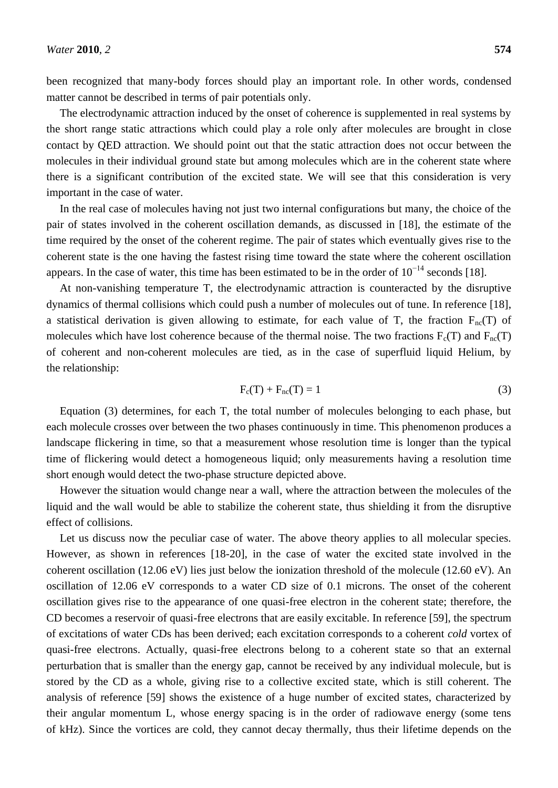been recognized that many-body forces should play an important role. In other words, condensed matter cannot be described in terms of pair potentials only.

The electrodynamic attraction induced by the onset of coherence is supplemented in real systems by the short range static attractions which could play a role only after molecules are brought in close contact by QED attraction. We should point out that the static attraction does not occur between the molecules in their individual ground state but among molecules which are in the coherent state where there is a significant contribution of the excited state. We will see that this consideration is very important in the case of water.

In the real case of molecules having not just two internal configurations but many, the choice of the pair of states involved in the coherent oscillation demands, as discussed in [18], the estimate of the time required by the onset of the coherent regime. The pair of states which eventually gives rise to the coherent state is the one having the fastest rising time toward the state where the coherent oscillation appears. In the case of water, this time has been estimated to be in the order of  $10^{-14}$  seconds [18].

At non-vanishing temperature T, the electrodynamic attraction is counteracted by the disruptive dynamics of thermal collisions which could push a number of molecules out of tune. In reference [18], a statistical derivation is given allowing to estimate, for each value of T, the fraction  $F_{nc}(T)$  of molecules which have lost coherence because of the thermal noise. The two fractions  $F_c(T)$  and  $F_{nc}(T)$ of coherent and non-coherent molecules are tied, as in the case of superfluid liquid Helium, by the relationship:

$$
F_c(T) + F_{nc}(T) = 1 \tag{3}
$$

Equation (3) determines, for each T, the total number of molecules belonging to each phase, but each molecule crosses over between the two phases continuously in time. This phenomenon produces a landscape flickering in time, so that a measurement whose resolution time is longer than the typical time of flickering would detect a homogeneous liquid; only measurements having a resolution time short enough would detect the two-phase structure depicted above.

However the situation would change near a wall, where the attraction between the molecules of the liquid and the wall would be able to stabilize the coherent state, thus shielding it from the disruptive effect of collisions.

Let us discuss now the peculiar case of water. The above theory applies to all molecular species. However, as shown in references [18-20], in the case of water the excited state involved in the coherent oscillation (12.06 eV) lies just below the ionization threshold of the molecule (12.60 eV). An oscillation of 12.06 eV corresponds to a water CD size of 0.1 microns. The onset of the coherent oscillation gives rise to the appearance of one quasi-free electron in the coherent state; therefore, the CD becomes a reservoir of quasi-free electrons that are easily excitable. In reference [59], the spectrum of excitations of water CDs has been derived; each excitation corresponds to a coherent *cold* vortex of quasi-free electrons. Actually, quasi-free electrons belong to a coherent state so that an external perturbation that is smaller than the energy gap, cannot be received by any individual molecule, but is stored by the CD as a whole, giving rise to a collective excited state, which is still coherent. The analysis of reference [59] shows the existence of a huge number of excited states, characterized by their angular momentum L, whose energy spacing is in the order of radiowave energy (some tens of kHz). Since the vortices are cold, they cannot decay thermally, thus their lifetime depends on the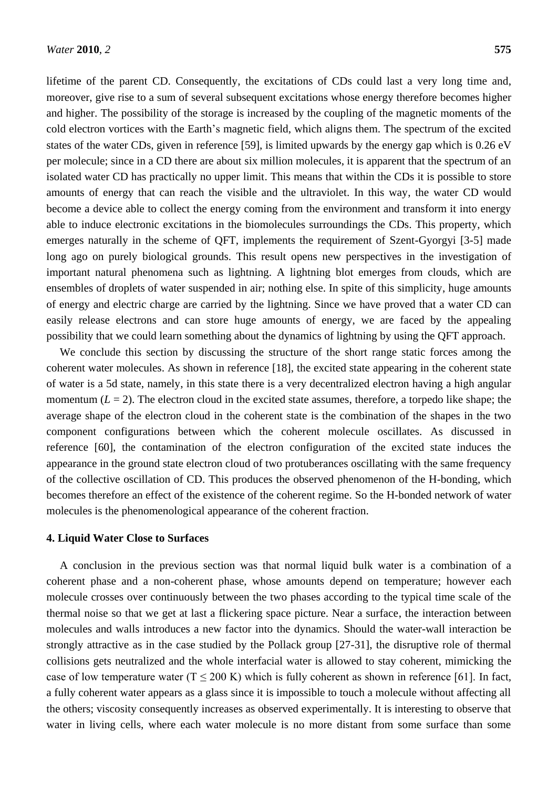lifetime of the parent CD. Consequently, the excitations of CDs could last a very long time and, moreover, give rise to a sum of several subsequent excitations whose energy therefore becomes higher and higher. The possibility of the storage is increased by the coupling of the magnetic moments of the cold electron vortices with the Earth's magnetic field, which aligns them. The spectrum of the excited states of the water CDs, given in reference [59], is limited upwards by the energy gap which is 0.26 eV per molecule; since in a CD there are about six million molecules, it is apparent that the spectrum of an isolated water CD has practically no upper limit. This means that within the CDs it is possible to store amounts of energy that can reach the visible and the ultraviolet. In this way, the water CD would become a device able to collect the energy coming from the environment and transform it into energy able to induce electronic excitations in the biomolecules surroundings the CDs. This property, which emerges naturally in the scheme of QFT, implements the requirement of Szent-Gyorgyi [3-5] made long ago on purely biological grounds. This result opens new perspectives in the investigation of important natural phenomena such as lightning. A lightning blot emerges from clouds, which are ensembles of droplets of water suspended in air; nothing else. In spite of this simplicity, huge amounts of energy and electric charge are carried by the lightning. Since we have proved that a water CD can easily release electrons and can store huge amounts of energy, we are faced by the appealing possibility that we could learn something about the dynamics of lightning by using the QFT approach.

We conclude this section by discussing the structure of the short range static forces among the coherent water molecules. As shown in reference [18], the excited state appearing in the coherent state of water is a 5d state, namely, in this state there is a very decentralized electron having a high angular momentum  $(L = 2)$ . The electron cloud in the excited state assumes, therefore, a torpedo like shape; the average shape of the electron cloud in the coherent state is the combination of the shapes in the two component configurations between which the coherent molecule oscillates. As discussed in reference [60], the contamination of the electron configuration of the excited state induces the appearance in the ground state electron cloud of two protuberances oscillating with the same frequency of the collective oscillation of CD. This produces the observed phenomenon of the H-bonding, which becomes therefore an effect of the existence of the coherent regime. So the H-bonded network of water molecules is the phenomenological appearance of the coherent fraction.

#### **4. Liquid Water Close to Surfaces**

A conclusion in the previous section was that normal liquid bulk water is a combination of a coherent phase and a non-coherent phase, whose amounts depend on temperature; however each molecule crosses over continuously between the two phases according to the typical time scale of the thermal noise so that we get at last a flickering space picture. Near a surface, the interaction between molecules and walls introduces a new factor into the dynamics. Should the water-wall interaction be strongly attractive as in the case studied by the Pollack group [27-31], the disruptive role of thermal collisions gets neutralized and the whole interfacial water is allowed to stay coherent, mimicking the case of low temperature water ( $T \le 200$  K) which is fully coherent as shown in reference [61]. In fact, a fully coherent water appears as a glass since it is impossible to touch a molecule without affecting all the others; viscosity consequently increases as observed experimentally. It is interesting to observe that water in living cells, where each water molecule is no more distant from some surface than some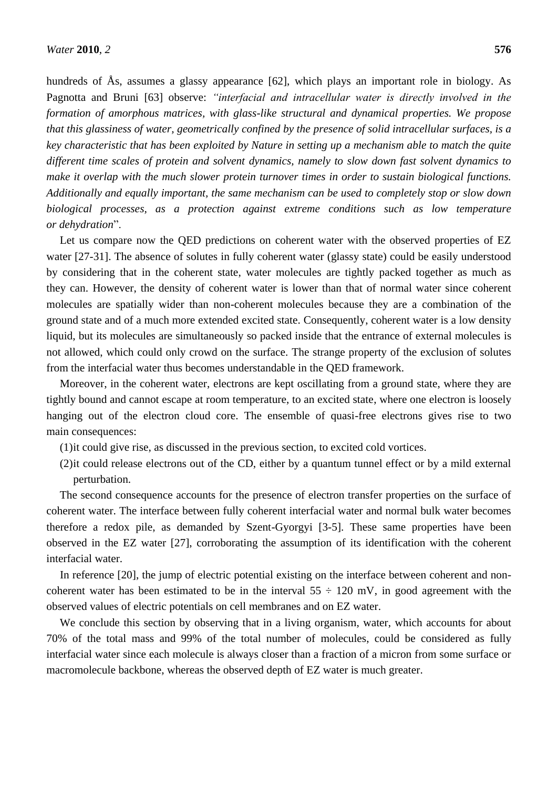hundreds of Ås, assumes a glassy appearance [62], which plays an important role in biology. As Pagnotta and Bruni [63] observe: *"interfacial and intracellular water is directly involved in the formation of amorphous matrices, with glass-like structural and dynamical properties. We propose that this glassiness of water, geometrically confined by the presence of solid intracellular surfaces, is a key characteristic that has been exploited by Nature in setting up a mechanism able to match the quite different time scales of protein and solvent dynamics, namely to slow down fast solvent dynamics to make it overlap with the much slower protein turnover times in order to sustain biological functions. Additionally and equally important, the same mechanism can be used to completely stop or slow down biological processes, as a protection against extreme conditions such as low temperature or dehydration*‖.

Let us compare now the QED predictions on coherent water with the observed properties of EZ water [27-31]. The absence of solutes in fully coherent water (glassy state) could be easily understood by considering that in the coherent state, water molecules are tightly packed together as much as they can. However, the density of coherent water is lower than that of normal water since coherent molecules are spatially wider than non-coherent molecules because they are a combination of the ground state and of a much more extended excited state. Consequently, coherent water is a low density liquid, but its molecules are simultaneously so packed inside that the entrance of external molecules is not allowed, which could only crowd on the surface. The strange property of the exclusion of solutes from the interfacial water thus becomes understandable in the QED framework.

Moreover, in the coherent water, electrons are kept oscillating from a ground state, where they are tightly bound and cannot escape at room temperature, to an excited state, where one electron is loosely hanging out of the electron cloud core. The ensemble of quasi-free electrons gives rise to two main consequences:

- (1)it could give rise, as discussed in the previous section, to excited cold vortices.
- (2)it could release electrons out of the CD, either by a quantum tunnel effect or by a mild external perturbation.

The second consequence accounts for the presence of electron transfer properties on the surface of coherent water. The interface between fully coherent interfacial water and normal bulk water becomes therefore a redox pile, as demanded by Szent-Gyorgyi [3-5]. These same properties have been observed in the EZ water [27], corroborating the assumption of its identification with the coherent interfacial water.

In reference [20], the jump of electric potential existing on the interface between coherent and noncoherent water has been estimated to be in the interval  $55 \div 120$  mV, in good agreement with the observed values of electric potentials on cell membranes and on EZ water.

We conclude this section by observing that in a living organism, water, which accounts for about 70% of the total mass and 99% of the total number of molecules, could be considered as fully interfacial water since each molecule is always closer than a fraction of a micron from some surface or macromolecule backbone, whereas the observed depth of EZ water is much greater.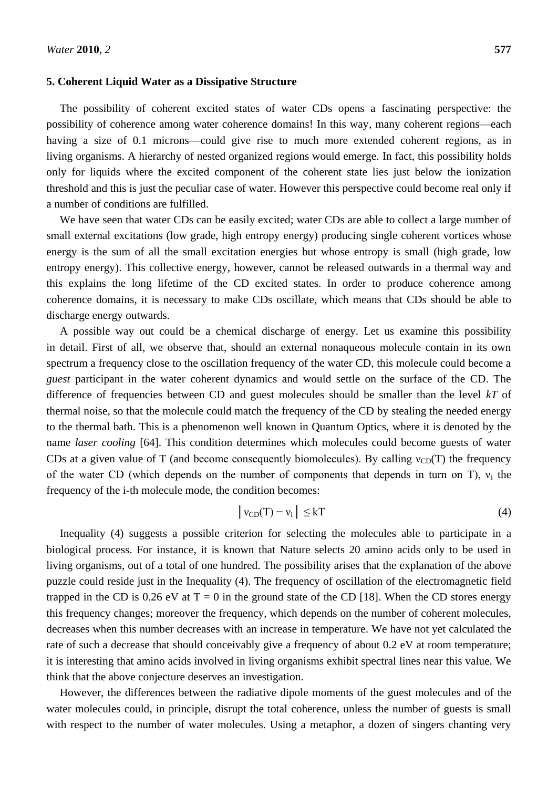#### **5. Coherent Liquid Water as a Dissipative Structure**

The possibility of coherent excited states of water CDs opens a fascinating perspective: the possibility of coherence among water coherence domains! In this way, many coherent regions—each having a size of 0.1 microns—could give rise to much more extended coherent regions, as in living organisms. A hierarchy of nested organized regions would emerge. In fact, this possibility holds only for liquids where the excited component of the coherent state lies just below the ionization threshold and this is just the peculiar case of water. However this perspective could become real only if a number of conditions are fulfilled.

We have seen that water CDs can be easily excited; water CDs are able to collect a large number of small external excitations (low grade, high entropy energy) producing single coherent vortices whose energy is the sum of all the small excitation energies but whose entropy is small (high grade, low entropy energy). This collective energy, however, cannot be released outwards in a thermal way and this explains the long lifetime of the CD excited states. In order to produce coherence among coherence domains, it is necessary to make CDs oscillate, which means that CDs should be able to discharge energy outwards.

A possible way out could be a chemical discharge of energy. Let us examine this possibility in detail. First of all, we observe that, should an external nonaqueous molecule contain in its own spectrum a frequency close to the oscillation frequency of the water CD, this molecule could become a *guest* participant in the water coherent dynamics and would settle on the surface of the CD. The difference of frequencies between CD and guest molecules should be smaller than the level *kT* of thermal noise, so that the molecule could match the frequency of the CD by stealing the needed energy to the thermal bath. This is a phenomenon well known in Quantum Optics, where it is denoted by the name *laser cooling* [64]. This condition determines which molecules could become guests of water CDs at a given value of T (and become consequently biomolecules). By calling  $v_{\text{CD}}(T)$  the frequency of the water CD (which depends on the number of components that depends in turn on T),  $v_i$  the frequency of the i-th molecule mode, the condition becomes:

$$
\left| \mathbf{v}_{\text{CD}}(T) - \mathbf{v}_{i} \right| \leq kT \tag{4}
$$

Inequality (4) suggests a possible criterion for selecting the molecules able to participate in a biological process. For instance, it is known that Nature selects 20 amino acids only to be used in living organisms, out of a total of one hundred. The possibility arises that the explanation of the above puzzle could reside just in the Inequality (4). The frequency of oscillation of the electromagnetic field trapped in the CD is 0.26 eV at  $T = 0$  in the ground state of the CD [18]. When the CD stores energy this frequency changes; moreover the frequency, which depends on the number of coherent molecules, decreases when this number decreases with an increase in temperature. We have not yet calculated the rate of such a decrease that should conceivably give a frequency of about 0.2 eV at room temperature; it is interesting that amino acids involved in living organisms exhibit spectral lines near this value. We think that the above conjecture deserves an investigation.

However, the differences between the radiative dipole moments of the guest molecules and of the water molecules could, in principle, disrupt the total coherence, unless the number of guests is small with respect to the number of water molecules. Using a metaphor, a dozen of singers chanting very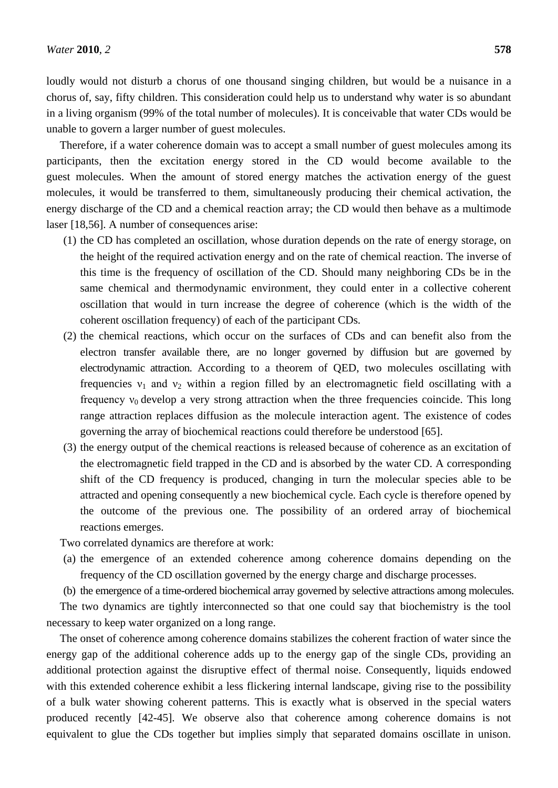loudly would not disturb a chorus of one thousand singing children, but would be a nuisance in a chorus of, say, fifty children. This consideration could help us to understand why water is so abundant in a living organism (99% of the total number of molecules). It is conceivable that water CDs would be unable to govern a larger number of guest molecules.

Therefore, if a water coherence domain was to accept a small number of guest molecules among its participants, then the excitation energy stored in the CD would become available to the guest molecules. When the amount of stored energy matches the activation energy of the guest molecules, it would be transferred to them, simultaneously producing their chemical activation, the energy discharge of the CD and a chemical reaction array; the CD would then behave as a multimode laser [18,56]. A number of consequences arise:

- (1) the CD has completed an oscillation, whose duration depends on the rate of energy storage, on the height of the required activation energy and on the rate of chemical reaction. The inverse of this time is the frequency of oscillation of the CD. Should many neighboring CDs be in the same chemical and thermodynamic environment, they could enter in a collective coherent oscillation that would in turn increase the degree of coherence (which is the width of the coherent oscillation frequency) of each of the participant CDs.
- (2) the chemical reactions, which occur on the surfaces of CDs and can benefit also from the electron transfer available there, are no longer governed by diffusion but are governed by electrodynamic attraction. According to a theorem of QED, two molecules oscillating with frequencies  $v_1$  and  $v_2$  within a region filled by an electromagnetic field oscillating with a frequency  $v_0$  develop a very strong attraction when the three frequencies coincide. This long range attraction replaces diffusion as the molecule interaction agent. The existence of codes governing the array of biochemical reactions could therefore be understood [65].
- (3) the energy output of the chemical reactions is released because of coherence as an excitation of the electromagnetic field trapped in the CD and is absorbed by the water CD. A corresponding shift of the CD frequency is produced, changing in turn the molecular species able to be attracted and opening consequently a new biochemical cycle. Each cycle is therefore opened by the outcome of the previous one. The possibility of an ordered array of biochemical reactions emerges.

Two correlated dynamics are therefore at work:

- (a) the emergence of an extended coherence among coherence domains depending on the frequency of the CD oscillation governed by the energy charge and discharge processes.
- (b) the emergence of a time-ordered biochemical array governed by selective attractions among molecules.

The two dynamics are tightly interconnected so that one could say that biochemistry is the tool necessary to keep water organized on a long range.

The onset of coherence among coherence domains stabilizes the coherent fraction of water since the energy gap of the additional coherence adds up to the energy gap of the single CDs, providing an additional protection against the disruptive effect of thermal noise. Consequently, liquids endowed with this extended coherence exhibit a less flickering internal landscape, giving rise to the possibility of a bulk water showing coherent patterns. This is exactly what is observed in the special waters produced recently [42-45]. We observe also that coherence among coherence domains is not equivalent to glue the CDs together but implies simply that separated domains oscillate in unison.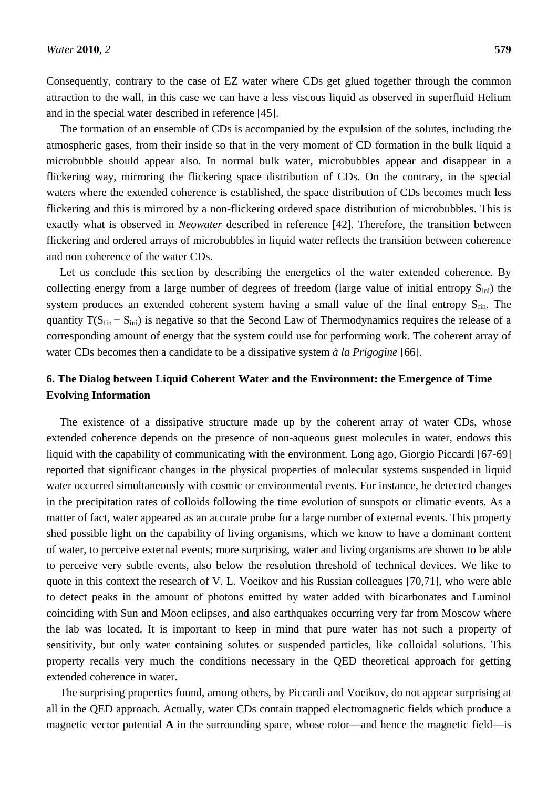Consequently, contrary to the case of EZ water where CDs get glued together through the common attraction to the wall, in this case we can have a less viscous liquid as observed in superfluid Helium and in the special water described in reference [45].

The formation of an ensemble of CDs is accompanied by the expulsion of the solutes, including the atmospheric gases, from their inside so that in the very moment of CD formation in the bulk liquid a microbubble should appear also. In normal bulk water, microbubbles appear and disappear in a flickering way, mirroring the flickering space distribution of CDs. On the contrary, in the special waters where the extended coherence is established, the space distribution of CDs becomes much less flickering and this is mirrored by a non-flickering ordered space distribution of microbubbles. This is exactly what is observed in *Neowater* described in reference [42]. Therefore, the transition between flickering and ordered arrays of microbubbles in liquid water reflects the transition between coherence and non coherence of the water CDs.

Let us conclude this section by describing the energetics of the water extended coherence. By collecting energy from a large number of degrees of freedom (large value of initial entropy  $S_{\text{ini}}$ ) the system produces an extended coherent system having a small value of the final entropy  $S_{fin}$ . The quantity  $T(S_{fin} - S_{ini})$  is negative so that the Second Law of Thermodynamics requires the release of a corresponding amount of energy that the system could use for performing work. The coherent array of water CDs becomes then a candidate to be a dissipative system *à la Prigogine* [66].

## **6. The Dialog between Liquid Coherent Water and the Environment: the Emergence of Time Evolving Information**

The existence of a dissipative structure made up by the coherent array of water CDs, whose extended coherence depends on the presence of non-aqueous guest molecules in water, endows this liquid with the capability of communicating with the environment. Long ago, Giorgio Piccardi [67-69] reported that significant changes in the physical properties of molecular systems suspended in liquid water occurred simultaneously with cosmic or environmental events. For instance, he detected changes in the precipitation rates of colloids following the time evolution of sunspots or climatic events. As a matter of fact, water appeared as an accurate probe for a large number of external events. This property shed possible light on the capability of living organisms, which we know to have a dominant content of water, to perceive external events; more surprising, water and living organisms are shown to be able to perceive very subtle events, also below the resolution threshold of technical devices. We like to quote in this context the research of V. L. Voeikov and his Russian colleagues [70,71], who were able to detect peaks in the amount of photons emitted by water added with bicarbonates and Luminol coinciding with Sun and Moon eclipses, and also earthquakes occurring very far from Moscow where the lab was located. It is important to keep in mind that pure water has not such a property of sensitivity, but only water containing solutes or suspended particles, like colloidal solutions. This property recalls very much the conditions necessary in the QED theoretical approach for getting extended coherence in water.

The surprising properties found, among others, by Piccardi and Voeikov, do not appear surprising at all in the QED approach. Actually, water CDs contain trapped electromagnetic fields which produce a magnetic vector potential **A** in the surrounding space, whose rotor—and hence the magnetic field—is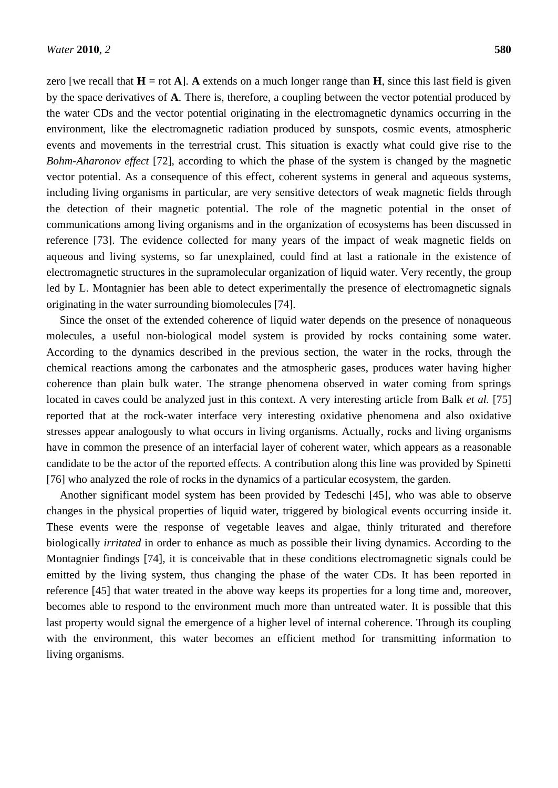zero [we recall that  $H = \text{rot } A$ ]. A extends on a much longer range than  $H$ , since this last field is given by the space derivatives of **A**. There is, therefore, a coupling between the vector potential produced by the water CDs and the vector potential originating in the electromagnetic dynamics occurring in the environment, like the electromagnetic radiation produced by sunspots, cosmic events, atmospheric events and movements in the terrestrial crust. This situation is exactly what could give rise to the *Bohm-Aharonov effect* [72], according to which the phase of the system is changed by the magnetic vector potential. As a consequence of this effect, coherent systems in general and aqueous systems, including living organisms in particular, are very sensitive detectors of weak magnetic fields through the detection of their magnetic potential. The role of the magnetic potential in the onset of communications among living organisms and in the organization of ecosystems has been discussed in reference [73]. The evidence collected for many years of the impact of weak magnetic fields on aqueous and living systems, so far unexplained, could find at last a rationale in the existence of electromagnetic structures in the supramolecular organization of liquid water. Very recently, the group led by L. Montagnier has been able to detect experimentally the presence of electromagnetic signals originating in the water surrounding biomolecules [74].

Since the onset of the extended coherence of liquid water depends on the presence of nonaqueous molecules, a useful non-biological model system is provided by rocks containing some water. According to the dynamics described in the previous section, the water in the rocks, through the chemical reactions among the carbonates and the atmospheric gases, produces water having higher coherence than plain bulk water. The strange phenomena observed in water coming from springs located in caves could be analyzed just in this context. A very interesting article from Balk *et al.* [75] reported that at the rock-water interface very interesting oxidative phenomena and also oxidative stresses appear analogously to what occurs in living organisms. Actually, rocks and living organisms have in common the presence of an interfacial layer of coherent water, which appears as a reasonable candidate to be the actor of the reported effects. A contribution along this line was provided by Spinetti [76] who analyzed the role of rocks in the dynamics of a particular ecosystem, the garden.

Another significant model system has been provided by Tedeschi [45], who was able to observe changes in the physical properties of liquid water, triggered by biological events occurring inside it. These events were the response of vegetable leaves and algae, thinly triturated and therefore biologically *irritated* in order to enhance as much as possible their living dynamics. According to the Montagnier findings [74], it is conceivable that in these conditions electromagnetic signals could be emitted by the living system, thus changing the phase of the water CDs. It has been reported in reference [45] that water treated in the above way keeps its properties for a long time and, moreover, becomes able to respond to the environment much more than untreated water. It is possible that this last property would signal the emergence of a higher level of internal coherence. Through its coupling with the environment, this water becomes an efficient method for transmitting information to living organisms.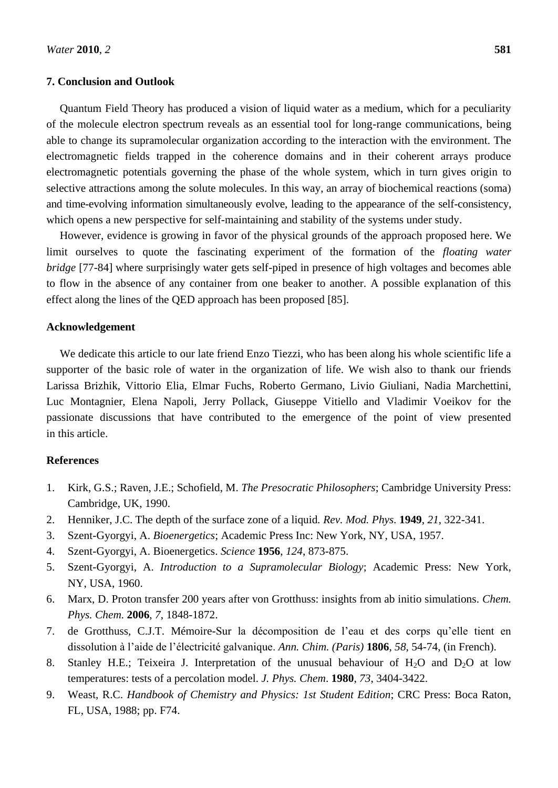#### **7. Conclusion and Outlook**

Quantum Field Theory has produced a vision of liquid water as a medium, which for a peculiarity of the molecule electron spectrum reveals as an essential tool for long-range communications, being able to change its supramolecular organization according to the interaction with the environment. The electromagnetic fields trapped in the coherence domains and in their coherent arrays produce electromagnetic potentials governing the phase of the whole system, which in turn gives origin to selective attractions among the solute molecules. In this way, an array of biochemical reactions (soma) and time-evolving information simultaneously evolve, leading to the appearance of the self-consistency, which opens a new perspective for self-maintaining and stability of the systems under study.

However, evidence is growing in favor of the physical grounds of the approach proposed here. We limit ourselves to quote the fascinating experiment of the formation of the *floating water bridge* [77-84] where surprisingly water gets self-piped in presence of high voltages and becomes able to flow in the absence of any container from one beaker to another. A possible explanation of this effect along the lines of the QED approach has been proposed [85].

#### **Acknowledgement**

We dedicate this article to our late friend Enzo Tiezzi, who has been along his whole scientific life a supporter of the basic role of water in the organization of life. We wish also to thank our friends Larissa Brizhik, Vittorio Elia, Elmar Fuchs, Roberto Germano, Livio Giuliani, Nadia Marchettini, Luc Montagnier, Elena Napoli, Jerry Pollack, Giuseppe Vitiello and Vladimir Voeikov for the passionate discussions that have contributed to the emergence of the point of view presented in this article.

### **References**

- 1. Kirk, G.S.; Raven, J.E.; Schofield, M. *The Presocratic Philosophers*; Cambridge University Press: Cambridge, UK, 1990.
- 2. Henniker, J.C. The depth of the surface zone of a liquid*. Rev. Mod. Phys.* **1949**, *21*, 322-341.
- 3. Szent-Gyorgyi, A. *Bioenergetics*; Academic Press Inc: New York, NY, USA, 1957.
- 4. Szent-Gyorgyi, A. Bioenergetics. *Science* **1956**, *124*, 873-875.
- 5. Szent-Gyorgyi, A. *Introduction to a Supramolecular Biology*; Academic Press: New York, NY, USA, 1960.
- 6. Marx, D. Proton transfer 200 years after von Grotthuss: insights from ab initio simulations. *Chem. Phys. Chem.* **2006**, *7*, 1848-1872.
- 7. de Grotthuss, C.J.T. Mémoire-Sur la décomposition de l'eau et des corps qu'elle tient en dissolution à l'aide de l'électricité galvanique. *Ann. Chim. (Paris)* **1806**, *58*, 54-74, (in French).
- 8. Stanley H.E.; Teixeira J. Interpretation of the unusual behaviour of  $H_2O$  and  $D_2O$  at low temperatures: tests of a percolation model. *J. Phys. Chem*. **1980**, *73*, 3404-3422.
- 9. Weast, R.C. *Handbook of Chemistry and Physics: 1st Student Edition*; CRC Press: Boca Raton, FL, USA, 1988; pp. F74.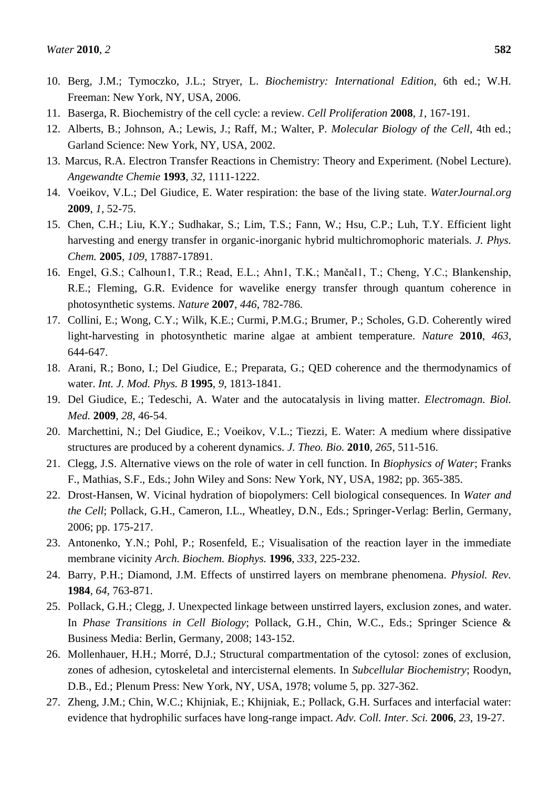- 10. Berg, J.M.; Tymoczko, J.L.; Stryer, L. *Biochemistry: International Edition*, 6th ed.; W.H. Freeman: New York, NY, USA, 2006.
- 11. Baserga, R. Biochemistry of the cell cycle: a review. *Cell Proliferation* **2008**, *1*, 167-191.
- 12. Alberts, B.; Johnson, A.; Lewis, J.; Raff, M.; Walter, P. *Molecular Biology of the Cell*, 4th ed.; Garland Science: New York, NY, USA, 2002.
- 13. Marcus, R.A. Electron Transfer Reactions in Chemistry: Theory and Experiment*.* (Nobel Lecture). *Angewandte Chemie* **1993**, *32*, 1111-1222.
- 14. Voeikov, V.L.; Del Giudice, E. Water respiration: the base of the living state. *WaterJournal.org* **2009**, *1*, 52-75.
- 15. Chen, C.H.; Liu, K.Y.; Sudhakar, S.; Lim, T.S.; Fann, W.; Hsu, C.P.; Luh, T.Y. Efficient light harvesting and energy transfer in organic-inorganic hybrid multichromophoric materials. *J. Phys. Chem.* **2005**, *109*, 17887-17891.
- 16. Engel, G.S.; Calhoun1, T.R.; Read, E.L.; Ahn1, T.K.; Mančal1, T.; Cheng, Y.C.; Blankenship, R.E.; Fleming, G.R. Evidence for wavelike energy transfer through quantum coherence in photosynthetic systems. *Nature* **2007**, *446*, 782-786.
- 17. Collini, E.; Wong, C.Y.; Wilk, K.E.; Curmi, P.M.G.; Brumer, P.; Scholes, G.D. Coherently wired light-harvesting in photosynthetic marine algae at ambient temperature. *Nature* **2010**, *463*, 644-647.
- 18. Arani, R.; Bono, I.; Del Giudice, E.; Preparata, G.; QED coherence and the thermodynamics of water. *Int. J. Mod. Phys. B* **1995**, *9*, 1813-1841.
- 19. Del Giudice, E.; Tedeschi, A. Water and the autocatalysis in living matter. *Electromagn. Biol. Med.* **2009**, *28*, 46-54.
- 20. Marchettini, N.; Del Giudice, E.; Voeikov, V.L.; Tiezzi, E. Water: A medium where dissipative structures are produced by a coherent dynamics. *J. Theo. Bio.* **2010**, *265*, 511-516.
- 21. Clegg, J.S. Alternative views on the role of water in cell function*.* In *Biophysics of Water*; Franks F., Mathias, S.F., Eds.; John Wiley and Sons: New York, NY, USA, 1982; pp. 365-385.
- 22. Drost-Hansen, W. Vicinal hydration of biopolymers: Cell biological consequences*.* In *Water and the Cell*; Pollack, G.H., Cameron, I.L., Wheatley, D.N., Eds.; Springer-Verlag: Berlin, Germany, 2006; pp. 175-217.
- 23. Antonenko, Y.N.; Pohl, P.; Rosenfeld, E.; Visualisation of the reaction layer in the immediate membrane vicinity *Arch. Biochem. Biophys.* **1996**, *333*, 225-232.
- 24. Barry, P.H.; Diamond, J.M. Effects of unstirred layers on membrane phenomena. *Physiol. Rev.*  **1984**, *64*, 763-871.
- 25. Pollack, G.H.; Clegg, J. Unexpected linkage between unstirred layers, exclusion zones, and water. In *Phase Transitions in Cell Biology*; Pollack, G.H., Chin, W.C., Eds.; Springer Science & Business Media: Berlin, Germany, 2008; 143-152.
- 26. Mollenhauer, H.H.; Morré, D.J.; Structural compartmentation of the cytosol: zones of exclusion, zones of adhesion, cytoskeletal and intercisternal elements. In *Subcellular Biochemistry*; Roodyn, D.B., Ed.; Plenum Press: New York, NY, USA, 1978; volume 5, pp. 327-362.
- 27. Zheng, J.M.; Chin, W.C.; Khijniak, E.; Khijniak, E.; Pollack, G.H. Surfaces and interfacial water: evidence that hydrophilic surfaces have long-range impact. *Adv. Coll. Inter. Sci.* **2006**, *23*, 19-27.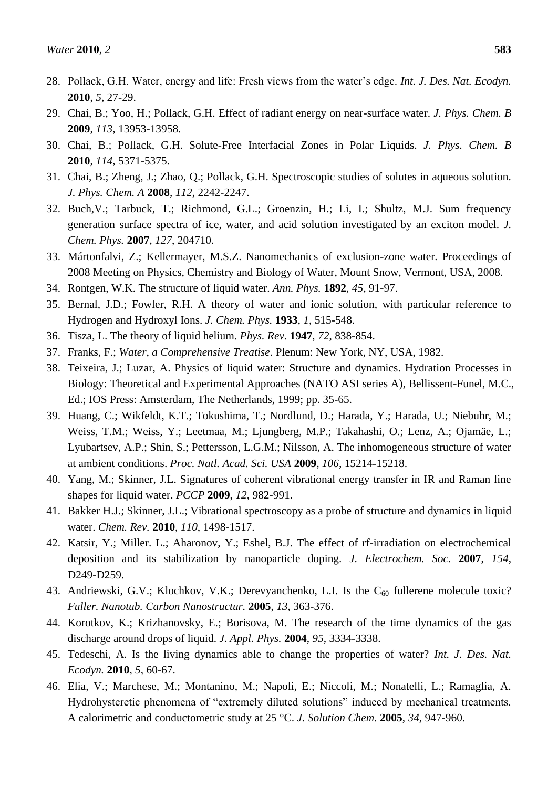- 28. Pollack, G.H. Water, energy and life: Fresh views from the water's edge. *Int. J. Des. Nat. Ecodyn.* **2010**, *5*, 27-29.
- 29. Chai, B.; Yoo, H.; Pollack, G.H. Effect of radiant energy on near-surface water. *J. Phys. Chem. B* **2009**, *113*, 13953-13958.
- 30. Chai, B.; Pollack, G.H. Solute-Free Interfacial Zones in Polar Liquids. *J. Phys. Chem. B* **2010**, *114*, 5371-5375.
- 31. Chai, B.; Zheng, J.; Zhao, Q.; Pollack, G.H. Spectroscopic studies of solutes in aqueous solution. *J. Phys. Chem. A* **2008**, *112*, 2242-2247.
- 32. Buch,V.; Tarbuck, T.; Richmond, G.L.; Groenzin, H.; Li, I.; Shultz, M.J. Sum frequency generation surface spectra of ice, water, and acid solution investigated by an exciton model. *J. Chem. Phys.* **2007**, *127*, 204710.
- 33. Mártonfalvi, Z.; Kellermayer, M.S.Z. Nanomechanics of exclusion-zone water. Proceedings of 2008 Meeting on Physics, Chemistry and Biology of Water, Mount Snow, Vermont, USA, 2008.
- 34. Rontgen, W.K. The structure of liquid water. *Ann. Phys.* **1892**, *45*, 91-97.
- 35. Bernal, J.D.; Fowler, R.H. A theory of water and ionic solution, with particular reference to Hydrogen and Hydroxyl Ions. *J. Chem. Phys.* **1933**, *1*, 515-548.
- 36. [Tisza,](http://publish.aps.org/search/field/author/Tisza_Laszlo) L. The theory of liquid helium. *Phys. Rev.* **1947**, *72*, 838-854.
- 37. Franks, F.; *Water*, *a Comprehensive Treatise*. Plenum: New York, NY, USA, 1982.
- 38. Teixeira, J.; Luzar, A. Physics of liquid water: Structure and dynamics. Hydration Processes in Biology: Theoretical and Experimental Approaches (NATO ASI series A), Bellissent-Funel, M.C., Ed.; IOS Press: Amsterdam, The Netherlands, 1999; pp. 35-65.
- 39. Huang, C.; Wikfeldt, K.T.; Tokushima, T.; Nordlund, D.; Harada, Y.; Harada, U.; Niebuhr, M.; Weiss, T.M.; Weiss, Y.; Leetmaa, M.; Ljungberg, M.P.; Takahashi, O.; Lenz, A.; Ojamäe, L.; Lyubartsev, A.P.; Shin, S.; Pettersson, L.G.M.; Nilsson, A. The inhomogeneous structure of water at ambient conditions. *Proc. Natl. Acad. Sci. USA* **2009**, *106*, 15214-15218.
- 40. Yang, M.; Skinner, J.L. Signatures of coherent vibrational energy transfer in IR and Raman line shapes for liquid water. *PCCP* **2009**, *12*, 982-991.
- 41. Bakker H.J.; Skinner, J.L.; Vibrational spectroscopy as a probe of structure and dynamics in liquid water. *Chem. Rev.* **2010**, *110*, 1498-1517.
- 42. Katsir, Y.; Miller. L.; Aharonov, Y.; Eshel, B.J. The effect of rf-irradiation on electrochemical deposition and its stabilization by nanoparticle doping. *J. Electrochem. Soc.* **2007**, *154*, D249-D259.
- 43. Andriewski, G.V.; Klochkov, V.K.; Derevyanchenko, L.I. Is the  $C_{60}$  fullerene molecule toxic? *Fuller. Nanotub. Carbon Nanostructur.* **2005**, *13*, 363-376.
- 44. Korotkov, K.; Krizhanovsky, E.; Borisova, M. The research of the time dynamics of the gas discharge around drops of liquid. *J. Appl. Phys.* **2004**, *95*, 3334-3338.
- 45. Tedeschi, A. Is the living dynamics able to change the properties of water? *Int. J. Des. Nat. Ecodyn.* **2010**, *5*, 60-67.
- 46. Elia, V.; Marchese, M.; Montanino, M.; Napoli, E.; Niccoli, M.; Nonatelli, L.; Ramaglia, A. Hydrohysteretic phenomena of "extremely diluted solutions" induced by mechanical treatments. A calorimetric and conductometric study at 25 °C. *J. Solution Chem.* **2005**, *34*, 947-960.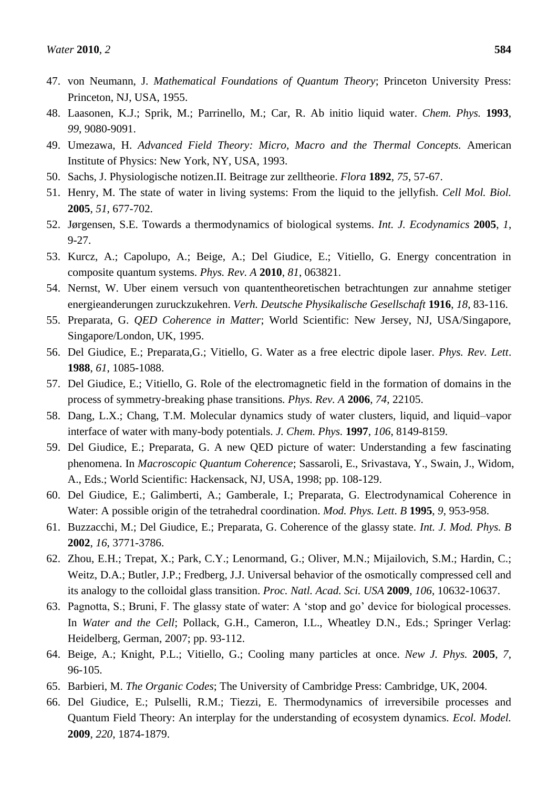- 47. von Neumann, J. *Mathematical Foundations of Quantum Theory*; Princeton University Press: Princeton, NJ, USA, 1955.
- 48. Laasonen, K.J.; Sprik, M.; Parrinello, M.; Car, R. Ab initio liquid water. *Chem. Phys.* **1993**, *99*, 9080-9091.
- 49. Umezawa, H. *Advanced Field Theory: Micro, Macro and the Thermal Concepts.* American Institute of Physics: New York, NY, USA, 1993.
- 50. Sachs, J. Physiologische notizen.II. Beitrage zur zelltheorie. *Flora* **1892**, *75*, 57-67.
- 51. Henry, M. The state of water in living systems: From the liquid to the jellyfish. *Cell Mol. Biol.* **2005**, *51*, 677-702.
- 52. Jørgensen, S.E. Towards a thermodynamics of biological systems. *Int. J. Ecodynamics* **2005**, *1*, 9-27.
- 53. Kurcz, A.; Capolupo, A.; Beige, A.; Del Giudice, E.; Vitiello, G. Energy concentration in composite quantum systems. *Phys. Rev. A* **2010**, *81*, 063821.
- 54. Nernst, W. Uber einem versuch von quantentheoretischen betrachtungen zur annahme stetiger energieanderungen zuruckzukehren. *Verh. Deutsche Physikalische Gesellschaft* **1916**, *18*, 83-116.
- 55. Preparata, G. *QED Coherence in Matter*; World Scientific: New Jersey, NJ, USA/Singapore, Singapore/London, UK, 1995.
- 56. Del Giudice, E.; Preparata,G.; Vitiello, G. Water as a free electric dipole laser. *Phys. Rev. Lett*. **1988**, *61*, 1085-1088.
- 57. Del Giudice, E.; Vitiello, G. Role of the electromagnetic field in the formation of domains in the process of symmetry-breaking phase transitions*. Phys. Rev. A* **2006**, *74*, 22105.
- 58. Dang, L.X.; Chang, T.M. Molecular dynamics study of water clusters, liquid, and liquid–vapor interface of water with many-body potentials. *J. Chem. Phys.* **1997**, *106*, 8149-8159.
- 59. Del Giudice, E.; Preparata, G. A new QED picture of water: Understanding a few fascinating phenomena. In *Macroscopic Quantum Coherence*; Sassaroli, E., Srivastava, Y., Swain, J., Widom, A., Eds.; World Scientific: Hackensack, NJ, USA, 1998; pp. 108-129.
- 60. Del Giudice, E.; Galimberti, A.; Gamberale, I.; Preparata, G. Electrodynamical Coherence in Water: A possible origin of the tetrahedral coordination. *Mod. Phys. Lett*. *B* **1995**, *9*, 953-958.
- 61. Buzzacchi, M.; Del Giudice, E.; Preparata, G. Coherence of the glassy state. *Int. J. Mod. Phys. B* **2002**, *16*, 3771-3786.
- 62. [Zhou,](http://nihongo.j-talk.com/parser/index.php?f=1&url=http://www.pnas.org/content/106/26/10632.full&dir=/search--qm--author1--eq--E.+H.+Zhou--amp--amp;sortspec--eq--date--amp--amp;submit--eq--Submit) E.H.; [Trepat,](http://nihongo.j-talk.com/parser/index.php?f=1&url=http://www.pnas.org/content/106/26/10632.full&dir=/search--qm--author1--eq--X.+Trepat--amp--amp;sortspec--eq--date--amp--amp;submit--eq--Submit) X.; [Park,](http://nihongo.j-talk.com/parser/index.php?f=1&url=http://www.pnas.org/content/106/26/10632.full&dir=/search--qm--author1--eq--C.+Y.+Park--amp--amp;sortspec--eq--date--amp--amp;submit--eq--Submit) C.Y.; [Lenormand,](http://nihongo.j-talk.com/parser/index.php?f=1&url=http://www.pnas.org/content/106/26/10632.full&dir=/search--qm--author1--eq--G.+Lenormand--amp--amp;sortspec--eq--date--amp--amp;submit--eq--Submit) G.; [Oliver,](http://nihongo.j-talk.com/parser/index.php?f=1&url=http://www.pnas.org/content/106/26/10632.full&dir=/search--qm--author1--eq--M.+N.+Oliver--amp--amp;sortspec--eq--date--amp--amp;submit--eq--Submit) M.N.; [Mijailovich,](http://nihongo.j-talk.com/parser/index.php?f=1&url=http://www.pnas.org/content/106/26/10632.full&dir=/search--qm--author1--eq--S.+M.+Mijailovich--amp--amp;sortspec--eq--date--amp--amp;submit--eq--Submit) S.M.; [Hardin,](http://nihongo.j-talk.com/parser/index.php?f=1&url=http://www.pnas.org/content/106/26/10632.full&dir=/search--qm--author1--eq--C.+Hardin--amp--amp;sortspec--eq--date--amp--amp;submit--eq--Submit) C.; [Weitz,](http://nihongo.j-talk.com/parser/index.php?f=1&url=http://www.pnas.org/content/106/26/10632.full&dir=/search--qm--author1--eq--D.+A.+Weitz--amp--amp;sortspec--eq--date--amp--amp;submit--eq--Submit) D.A.; [Butler,](http://nihongo.j-talk.com/parser/index.php?f=1&url=http://www.pnas.org/content/106/26/10632.full&dir=/search--qm--author1--eq--J.+P.+Butler--amp--amp;sortspec--eq--date--amp--amp;submit--eq--Submit) J.P.; [Fredberg,](http://nihongo.j-talk.com/parser/index.php?f=1&url=http://www.pnas.org/content/106/26/10632.full&dir=/search--qm--author1--eq--J.+J.+Fredberg--amp--amp;sortspec--eq--date--amp--amp;submit--eq--Submit) J.J. Universal behavior of the osmotically compressed cell and its analogy to the colloidal glass transition. *Proc. Natl. Acad. Sci. USA* **2009**, *106*, 10632-10637.
- 63. Pagnotta, S.; Bruni, F. The glassy state of water: A ‗stop and go' device for biological processes. In *Water and the Cell*; Pollack, G.H., Cameron, I.L., Wheatley D.N., Eds.; Springer Verlag: Heidelberg, German, 2007; pp. 93-112.
- 64. Beige, A.; Knight, P.L.; Vitiello, G.; Cooling many particles at once. *New J. Phys.* **2005**, *7*, 96-105.
- 65. Barbieri, M. *The Organic Codes*; The University of Cambridge Press: Cambridge, UK, 2004.
- 66. Del Giudice, E.; Pulselli, R.M.; Tiezzi, E. Thermodynamics of irreversibile processes and Quantum Field Theory: An interplay for the understanding of ecosystem dynamics. *Ecol. Model.* **2009**, *220*, 1874-1879.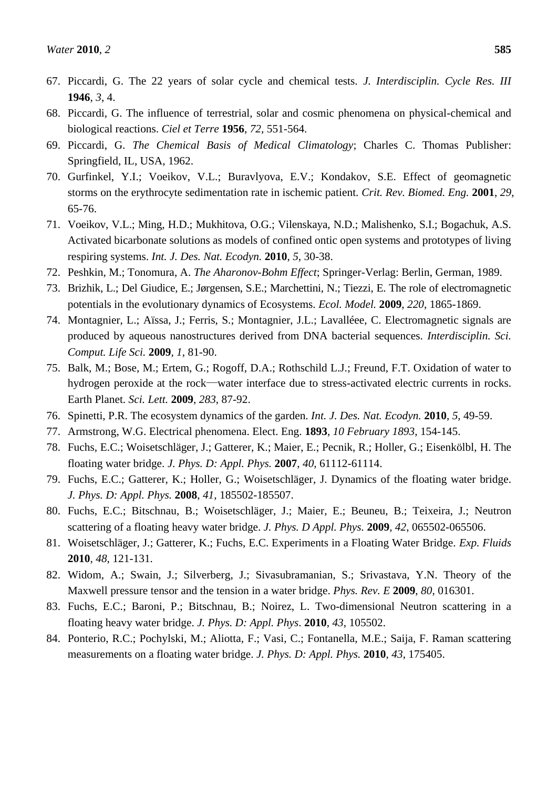- 67. Piccardi, G. The 22 years of solar cycle and chemical tests. *J. Interdisciplin. Cycle Res. III*  **1946**, *3*, 4.
- 68. Piccardi, G. The influence of terrestrial, solar and cosmic phenomena on physical-chemical and biological reactions. *Ciel et Terre* **1956**, *72*, 551-564.
- 69. Piccardi, G. *The Chemical Basis of Medical Climatology*; Charles C. Thomas Publisher: Springfield, IL, USA, 1962.
- 70. Gurfinkel, Y.I.; Voeikov, V.L.; Buravlyova, E.V.; Kondakov, S.E. Effect of geomagnetic storms on the erythrocyte sedimentation rate in ischemic patient. *Crit. Rev. Biomed. Eng.* **2001**, *29*, 65-76.
- 71. Voeikov, V.L.; Ming, H.D.; Mukhitova, O.G.; Vilenskaya, N.D.; Malishenko, S.I.; Bogachuk, A.S. Activated bicarbonate solutions as models of confined ontic open systems and prototypes of living respiring systems. *Int. J. Des. Nat. Ecodyn.* **2010**, *5*, 30-38.
- 72. Peshkin, M.; Tonomura, A. *The Aharonov-Bohm Effect*; Springer-Verlag: Berlin, German, 1989.
- 73. Brizhik, L.; Del Giudice, E.; Jørgensen, S.E.; Marchettini, N.; Tiezzi, E. The role of electromagnetic potentials in the evolutionary dynamics of Ecosystems. *Ecol. Model.* **2009**, *220*, 1865-1869.
- 74. Montagnier, L.; Aïssa, J.; Ferris, S.; Montagnier, J.L.; Lavalléee, C. Electromagnetic signals are produced by aqueous nanostructures derived from DNA bacterial sequences. *Interdisciplin. Sci. Comput. Life Sci.* **2009**, *1*, 81-90.
- 75. Balk, M.; Bose, M.; Ertem, G.; Rogoff, D.A.; Rothschild L.J.; Freund, F.T. Oxidation of water to hydrogen peroxide at the rock—water interface due to stress-activated electric currents in rocks. Earth Planet. *Sci. Lett.* **2009**, *283*, 87-92.
- 76. Spinetti, P.R. The ecosystem dynamics of the garden. *Int. J. Des. Nat. Ecodyn.* **2010**, *5*, 49-59.
- 77. Armstrong, W.G. Electrical phenomena. Elect. Eng. **1893**, *10 February 1893*, 154-145.
- 78. Fuchs, E.C.; Woisetschläger, J.; Gatterer, K.; Maier, E.; Pecnik, R.; Holler, G.; Eisenkölbl, H. The floating water bridge. *J. Phys. D: Appl. Phys.* **2007**, *40*, 61112-61114.
- 79. Fuchs, E.C.; Gatterer, K.; Holler, G.; Woisetschläger, J. Dynamics of the floating water bridge. *J. Phys. D: Appl. Phys.* **2008**, *41*, 185502-185507.
- 80. Fuchs, E.C.; Bitschnau, B.; Woisetschläger, J.; Maier, E.; Beuneu, B.; Teixeira, J.; Neutron scattering of a floating heavy water bridge. *J. Phys. D Appl. Phys.* **2009**, *42*, 065502-065506.
- 81. Woisetschläger, J.; Gatterer, K.; Fuchs, E.C. Experiments in a Floating Water Bridge. *Exp. Fluids* **2010**, *48*, 121-131.
- 82. Widom, A.; Swain, J.; Silverberg, J.; Sivasubramanian, S.; Srivastava, Y.N. Theory of the Maxwell pressure tensor and the tension in a water bridge. *Phys. Rev. E* **2009**, *80*, 016301.
- 83. Fuchs, E.C.; Baroni, P.; Bitschnau, B.; Noirez, L. Two-dimensional Neutron scattering in a floating heavy water bridge. *J. Phys. D: Appl. Phys*. **2010**, *43*, 105502.
- 84. Ponterio, R.C.; Pochylski, M.; Aliotta, F.; Vasi, C.; Fontanella, M.E.; Saija, F. Raman scattering measurements on a floating water bridge. *J. Phys. D: Appl. Phys.* **2010**, *43*, 175405.